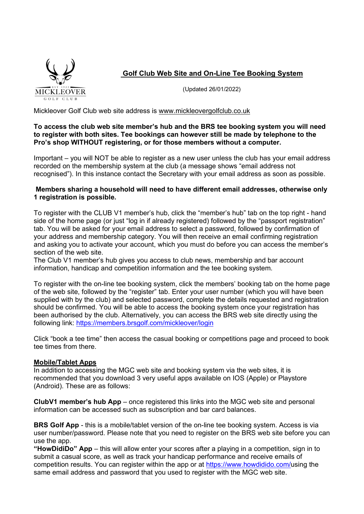

Golf Club Web Site and On-Line Tee Booking System

(Updated 26/01/2022)

Mickleover Golf Club web site address is www.mickleovergolfclub.co.uk

### To access the club web site member's hub and the BRS tee booking system you will need to register with both sites. Tee bookings can however still be made by telephone to the Pro's shop WITHOUT registering, or for those members without a computer.

Important – you will NOT be able to register as a new user unless the club has your email address recorded on the membership system at the club (a message shows "email address not recognised"). In this instance contact the Secretary with your email address as soon as possible.

### Members sharing a household will need to have different email addresses, otherwise only 1 registration is possible.

To register with the CLUB V1 member's hub, click the "member's hub" tab on the top right - hand side of the home page (or just "log in if already registered) followed by the "passport registration" tab. You will be asked for your email address to select a password, followed by confirmation of your address and membership category. You will then receive an email confirming registration and asking you to activate your account, which you must do before you can access the member's section of the web site.

The Club V1 member's hub gives you access to club news, membership and bar account information, handicap and competition information and the tee booking system.

To register with the on-line tee booking system, click the members' booking tab on the home page of the web site, followed by the "register" tab. Enter your user number (which you will have been supplied with by the club) and selected password, complete the details requested and registration should be confirmed. You will be able to access the booking system once your registration has been authorised by the club. Alternatively, you can access the BRS web site directly using the following link: <u>https://members.brsgolf.com/mickleover/login</u><br>Click "book a tee time" then access the casual booking or competitions page and proceed to book

tee times from there.

# Mobile/Tablet Apps

In addition to accessing the MGC web site and booking system via the web sites, it is recommended that you download 3 very useful apps available on IOS (Apple) or Playstore (Android). These are as follows:

ClubV1 member's hub App – once registered this links into the MGC web site and personal information can be accessed such as subscription and bar card balances.

BRS Golf App - this is a mobile/tablet version of the on-line tee booking system. Access is via user number/password. Please note that you need to register on the BRS web site before you can use the app.

"HowDidiDo" App – this will allow enter your scores after a playing in a competition, sign in to submit a casual score, as well as track your handicap performance and receive emails of competition results. You can register within the app or at https://www.howdidido.com/using the same email address and password that you used to register with the MGC web site.